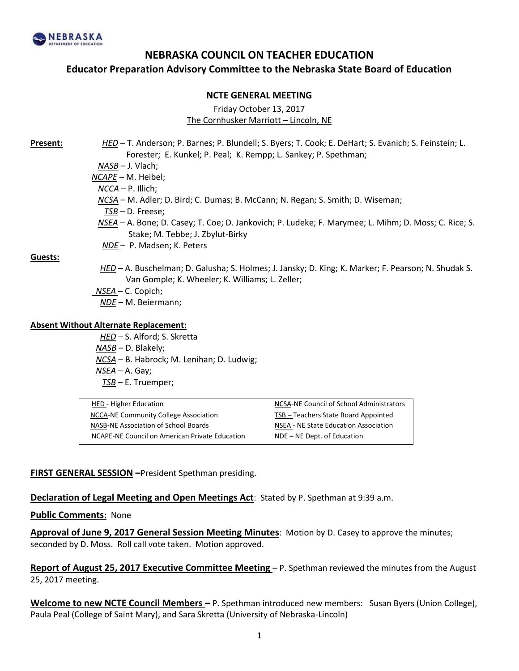

## **NEBRASKA COUNCIL ON TEACHER EDUCATION**

**Educator Preparation Advisory Committee to the Nebraska State Board of Education**

#### **NCTE GENERAL MEETING**

Friday October 13, 2017

The Cornhusker Marriott – Lincoln, NE

**Present:** *HED* – T. Anderson; P. Barnes; P. Blundell; S. Byers; T. Cook; E. DeHart; S. Evanich; S. Feinstein; L. Forester; E. Kunkel; P. Peal; K. Rempp; L. Sankey; P. Spethman; *NASB –* J. Vlach; *NCAPE –* M. Heibel;  *NCCA* – P. Illich; *NCSA –* M. Adler; D. Bird; C. Dumas; B. McCann; N. Regan; S. Smith; D. Wiseman; *TSB* – D. Freese;

- *NSEA* A. Bone; D. Casey; T. Coe; D. Jankovich; P. Ludeke; F. Marymee; L. Mihm; D. Moss; C. Rice; S. Stake; M. Tebbe; J. Zbylut-Birky
- *NDE* P. Madsen; K. Peters

**Guests:**

- *HED* A. Buschelman; D. Galusha; S. Holmes; J. Jansky; D. King; K. Marker; F. Pearson; N. Shudak S. Van Gomple; K. Wheeler; K. Williams; L. Zeller;
- *NSEA*  C. Copich;
	- *NDE* M. Beiermann;

#### **Absent Without Alternate Replacement:**

*HED –* S. Alford; S. Skretta *NASB* – D. Blakely; *NCSA* – B. Habrock; M. Lenihan; D. Ludwig;  *NSEA* – A. Gay; *TSB* – E. Truemper;

| HED - Higher Education                         | NCSA-NE Council of School Administrators |
|------------------------------------------------|------------------------------------------|
| NCCA-NE Community College Association          | TSB - Teachers State Board Appointed     |
| NASB-NE Association of School Boards           | NSEA - NE State Education Association    |
| NCAPE-NE Council on American Private Education | $NDE - NE$ Dept. of Education            |

#### **FIRST GENERAL SESSION –**President Spethman presiding.

**Declaration of Legal Meeting and Open Meetings Act**: Stated by P. Spethman at 9:39 a.m.

#### **Public Comments:** None

**Approval of June 9, 2017 General Session Meeting Minutes**: Motion by D. Casey to approve the minutes; seconded by D. Moss. Roll call vote taken. Motion approved.

**Report of August 25, 2017 Executive Committee Meeting** – P. Spethman reviewed the minutes from the August 25, 2017 meeting.

**Welcome to new NCTE Council Members –** P. Spethman introduced new members: Susan Byers (Union College), Paula Peal (College of Saint Mary), and Sara Skretta (University of Nebraska-Lincoln)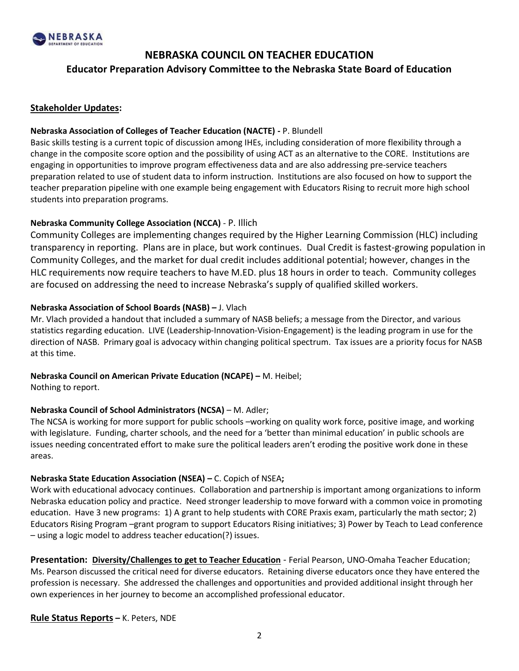

# **NEBRASKA COUNCIL ON TEACHER EDUCATION Educator Preparation Advisory Committee to the Nebraska State Board of Education**

#### **Stakeholder Updates:**

#### **Nebraska Association of Colleges of Teacher Education (NACTE) -** P. Blundell

Basic skills testing is a current topic of discussion among IHEs, including consideration of more flexibility through a change in the composite score option and the possibility of using ACT as an alternative to the CORE. Institutions are engaging in opportunities to improve program effectiveness data and are also addressing pre-service teachers preparation related to use of student data to inform instruction. Institutions are also focused on how to support the teacher preparation pipeline with one example being engagement with Educators Rising to recruit more high school students into preparation programs.

#### **Nebraska Community College Association (NCCA)** - P. Illich

Community Colleges are implementing changes required by the Higher Learning Commission (HLC) including transparency in reporting. Plans are in place, but work continues. Dual Credit is fastest-growing population in Community Colleges, and the market for dual credit includes additional potential; however, changes in the HLC requirements now require teachers to have M.ED. plus 18 hours in order to teach. Community colleges are focused on addressing the need to increase Nebraska's supply of qualified skilled workers.

#### **Nebraska Association of School Boards (NASB) –** J. Vlach

Mr. Vlach provided a handout that included a summary of NASB beliefs; a message from the Director, and various statistics regarding education. LIVE (Leadership-Innovation-Vision-Engagement) is the leading program in use for the direction of NASB. Primary goal is advocacy within changing political spectrum. Tax issues are a priority focus for NASB at this time.

### **Nebraska Council on American Private Education (NCAPE) –** M. Heibel;

Nothing to report.

#### **Nebraska Council of School Administrators (NCSA)** – M. Adler;

The NCSA is working for more support for public schools –working on quality work force, positive image, and working with legislature. Funding, charter schools, and the need for a 'better than minimal education' in public schools are issues needing concentrated effort to make sure the political leaders aren't eroding the positive work done in these areas.

#### **Nebraska State Education Association (NSEA) –** C. Copich of NSEA**;**

Work with educational advocacy continues. Collaboration and partnership is important among organizations to inform Nebraska education policy and practice. Need stronger leadership to move forward with a common voice in promoting education. Have 3 new programs: 1) A grant to help students with CORE Praxis exam, particularly the math sector; 2) Educators Rising Program –grant program to support Educators Rising initiatives; 3) Power by Teach to Lead conference – using a logic model to address teacher education(?) issues.

**Presentation: Diversity/Challenges to get to Teacher Education** - Ferial Pearson, UNO-Omaha Teacher Education; Ms. Pearson discussed the critical need for diverse educators. Retaining diverse educators once they have entered the profession is necessary. She addressed the challenges and opportunities and provided additional insight through her own experiences in her journey to become an accomplished professional educator.

#### **Rule Status Reports –** K. Peters, NDE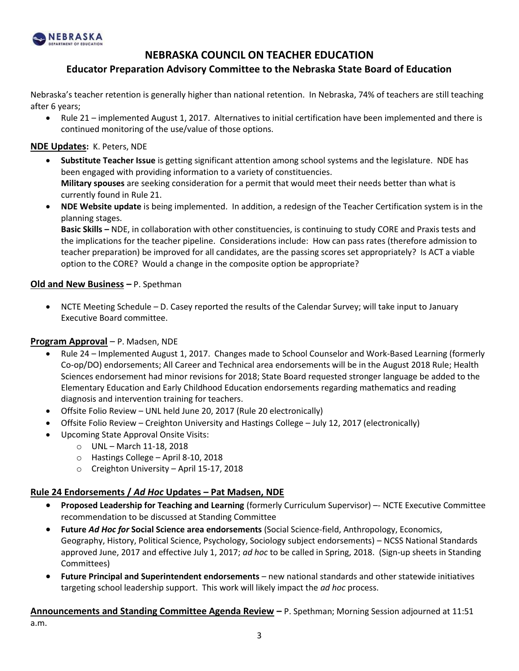

## **NEBRASKA COUNCIL ON TEACHER EDUCATION**

### **Educator Preparation Advisory Committee to the Nebraska State Board of Education**

Nebraska's teacher retention is generally higher than national retention. In Nebraska, 74% of teachers are still teaching after 6 years;

 Rule 21 – implemented August 1, 2017. Alternatives to initial certification have been implemented and there is continued monitoring of the use/value of those options.

#### **NDE Updates:** K. Peters, NDE

- **Substitute Teacher Issue** is getting significant attention among school systems and the legislature. NDE has been engaged with providing information to a variety of constituencies. **Military spouses** are seeking consideration for a permit that would meet their needs better than what is currently found in Rule 21.
- **NDE Website update** is being implemented. In addition, a redesign of the Teacher Certification system is in the planning stages.

**Basic Skills –** NDE, in collaboration with other constituencies, is continuing to study CORE and Praxis tests and the implications for the teacher pipeline. Considerations include: How can pass rates (therefore admission to teacher preparation) be improved for all candidates, are the passing scores set appropriately? Is ACT a viable option to the CORE? Would a change in the composite option be appropriate?

#### **Old and New Business –** P. Spethman

 NCTE Meeting Schedule – D. Casey reported the results of the Calendar Survey; will take input to January Executive Board committee.

#### **Program Approval** – P. Madsen, NDE

- Rule 24 Implemented August 1, 2017. Changes made to School Counselor and Work-Based Learning (formerly Co-op/DO) endorsements; All Career and Technical area endorsements will be in the August 2018 Rule; Health Sciences endorsement had minor revisions for 2018; State Board requested stronger language be added to the Elementary Education and Early Childhood Education endorsements regarding mathematics and reading diagnosis and intervention training for teachers.
- Offsite Folio Review UNL held June 20, 2017 (Rule 20 electronically)
- Offsite Folio Review Creighton University and Hastings College July 12, 2017 (electronically)
- Upcoming State Approval Onsite Visits:
	- o UNL March 11-18, 2018
	- o Hastings College April 8-10, 2018
	- o Creighton University April 15-17, 2018

#### **Rule 24 Endorsements /** *Ad Hoc* **Updates – Pat Madsen, NDE**

- **Proposed Leadership for Teaching and Learning** (formerly Curriculum Supervisor) –- NCTE Executive Committee recommendation to be discussed at Standing Committee
- **Future** *Ad Hoc for* **Social Science area endorsements** (Social Science-field, Anthropology, Economics, Geography, History, Political Science, Psychology, Sociology subject endorsements) – NCSS National Standards approved June, 2017 and effective July 1, 2017; *ad hoc* to be called in Spring, 2018. (Sign-up sheets in Standing Committees)
- **Future Principal and Superintendent endorsements** new national standards and other statewide initiatives targeting school leadership support. This work will likely impact the *ad hoc* process.

**Announcements and Standing Committee Agenda Review –** P. Spethman; Morning Session adjourned at 11:51

a.m.